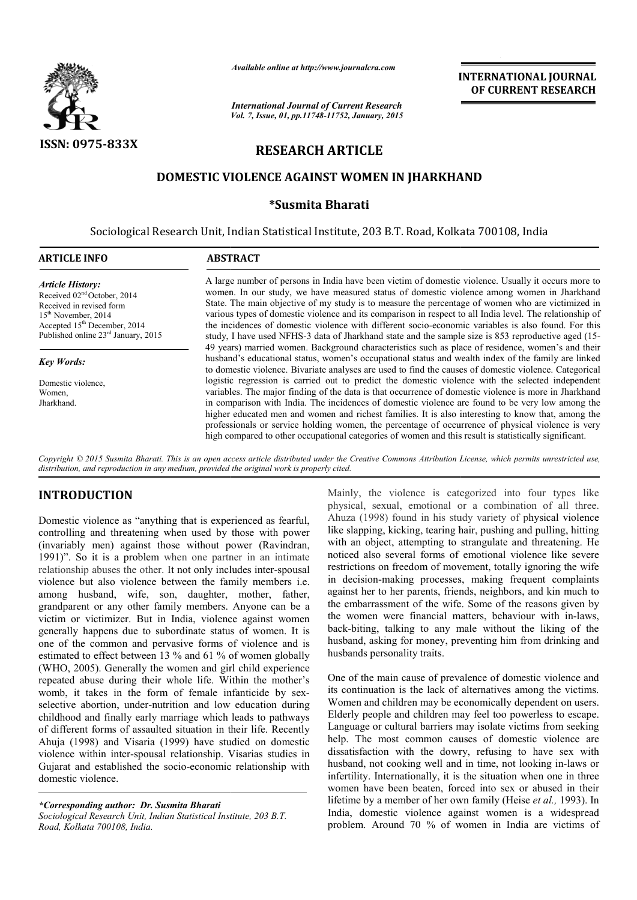

*Available online at http://www.journalcra.com*

# **RESEARCH ARTICLE**

#### **DOMESTIC VIOLENCE AGAINST WOMEN IN JHARKH JHARKHA AND**

## **\*Susmita Bharati**

|                                                                                                                                                                                                                                                                                                                                                                                                                                                                                                                                                                                                                                                                                                                                                                                                                                                                                                                                                                                                                                                                                                                                                                                                                                                      |                                                                                                      | unuvic viime ui nup.//www.jvurnuicru.com                                                                                                                                                                                                                                                                                                                                                                                                                                                                                                                                                                                                                                                                                                     | <b>INTERNATIONAL JOURNAL</b><br>OF CURRENT RESEARCH                                                                                                                                                                                                                                                                                                                                                                                                                                                                                                                                                                                                                                                                                                                                                                                                                                                                                                                                                                                                                                                                                                                                                                                                  |  |  |  |  |  |  |  |  |
|------------------------------------------------------------------------------------------------------------------------------------------------------------------------------------------------------------------------------------------------------------------------------------------------------------------------------------------------------------------------------------------------------------------------------------------------------------------------------------------------------------------------------------------------------------------------------------------------------------------------------------------------------------------------------------------------------------------------------------------------------------------------------------------------------------------------------------------------------------------------------------------------------------------------------------------------------------------------------------------------------------------------------------------------------------------------------------------------------------------------------------------------------------------------------------------------------------------------------------------------------|------------------------------------------------------------------------------------------------------|----------------------------------------------------------------------------------------------------------------------------------------------------------------------------------------------------------------------------------------------------------------------------------------------------------------------------------------------------------------------------------------------------------------------------------------------------------------------------------------------------------------------------------------------------------------------------------------------------------------------------------------------------------------------------------------------------------------------------------------------|------------------------------------------------------------------------------------------------------------------------------------------------------------------------------------------------------------------------------------------------------------------------------------------------------------------------------------------------------------------------------------------------------------------------------------------------------------------------------------------------------------------------------------------------------------------------------------------------------------------------------------------------------------------------------------------------------------------------------------------------------------------------------------------------------------------------------------------------------------------------------------------------------------------------------------------------------------------------------------------------------------------------------------------------------------------------------------------------------------------------------------------------------------------------------------------------------------------------------------------------------|--|--|--|--|--|--|--|--|
|                                                                                                                                                                                                                                                                                                                                                                                                                                                                                                                                                                                                                                                                                                                                                                                                                                                                                                                                                                                                                                                                                                                                                                                                                                                      | <b>International Journal of Current Research</b><br>Vol. 7, Issue, 01, pp.11748-11752, January, 2015 |                                                                                                                                                                                                                                                                                                                                                                                                                                                                                                                                                                                                                                                                                                                                              |                                                                                                                                                                                                                                                                                                                                                                                                                                                                                                                                                                                                                                                                                                                                                                                                                                                                                                                                                                                                                                                                                                                                                                                                                                                      |  |  |  |  |  |  |  |  |
| ISSN: 0975-833X                                                                                                                                                                                                                                                                                                                                                                                                                                                                                                                                                                                                                                                                                                                                                                                                                                                                                                                                                                                                                                                                                                                                                                                                                                      |                                                                                                      | <b>RESEARCH ARTICLE</b>                                                                                                                                                                                                                                                                                                                                                                                                                                                                                                                                                                                                                                                                                                                      |                                                                                                                                                                                                                                                                                                                                                                                                                                                                                                                                                                                                                                                                                                                                                                                                                                                                                                                                                                                                                                                                                                                                                                                                                                                      |  |  |  |  |  |  |  |  |
|                                                                                                                                                                                                                                                                                                                                                                                                                                                                                                                                                                                                                                                                                                                                                                                                                                                                                                                                                                                                                                                                                                                                                                                                                                                      | DOMESTIC VIOLENCE AGAINST WOMEN IN JHARKHAND                                                         |                                                                                                                                                                                                                                                                                                                                                                                                                                                                                                                                                                                                                                                                                                                                              |                                                                                                                                                                                                                                                                                                                                                                                                                                                                                                                                                                                                                                                                                                                                                                                                                                                                                                                                                                                                                                                                                                                                                                                                                                                      |  |  |  |  |  |  |  |  |
| *Susmita Bharati                                                                                                                                                                                                                                                                                                                                                                                                                                                                                                                                                                                                                                                                                                                                                                                                                                                                                                                                                                                                                                                                                                                                                                                                                                     |                                                                                                      |                                                                                                                                                                                                                                                                                                                                                                                                                                                                                                                                                                                                                                                                                                                                              |                                                                                                                                                                                                                                                                                                                                                                                                                                                                                                                                                                                                                                                                                                                                                                                                                                                                                                                                                                                                                                                                                                                                                                                                                                                      |  |  |  |  |  |  |  |  |
|                                                                                                                                                                                                                                                                                                                                                                                                                                                                                                                                                                                                                                                                                                                                                                                                                                                                                                                                                                                                                                                                                                                                                                                                                                                      | Sociological Research Unit, Indian Statistical Institute, 203 B.T. Road, Kolkata 700108, India       |                                                                                                                                                                                                                                                                                                                                                                                                                                                                                                                                                                                                                                                                                                                                              |                                                                                                                                                                                                                                                                                                                                                                                                                                                                                                                                                                                                                                                                                                                                                                                                                                                                                                                                                                                                                                                                                                                                                                                                                                                      |  |  |  |  |  |  |  |  |
| <b>ARTICLE INFO</b>                                                                                                                                                                                                                                                                                                                                                                                                                                                                                                                                                                                                                                                                                                                                                                                                                                                                                                                                                                                                                                                                                                                                                                                                                                  | <b>ABSTRACT</b>                                                                                      |                                                                                                                                                                                                                                                                                                                                                                                                                                                                                                                                                                                                                                                                                                                                              |                                                                                                                                                                                                                                                                                                                                                                                                                                                                                                                                                                                                                                                                                                                                                                                                                                                                                                                                                                                                                                                                                                                                                                                                                                                      |  |  |  |  |  |  |  |  |
| <b>Article History:</b><br>Received 02 <sup>nd</sup> October, 2014<br>Received in revised form<br>15 <sup>th</sup> November, 2014<br>Accepted $15^{th}$ December, 2014<br>Published online $23^{rd}$ January, 2015                                                                                                                                                                                                                                                                                                                                                                                                                                                                                                                                                                                                                                                                                                                                                                                                                                                                                                                                                                                                                                   |                                                                                                      |                                                                                                                                                                                                                                                                                                                                                                                                                                                                                                                                                                                                                                                                                                                                              | A large number of persons in India have been victim of domestic violence. Usually it occurs more to<br>women. In our study, we have measured status of domestic violence among women in Jharkhand<br>State. The main objective of my study is to measure the percentage of women who are victimized in<br>various types of domestic violence and its comparison in respect to all India level. The relationship of<br>the incidences of domestic violence with different socio-economic variables is also found. For this<br>study, I have used NFHS-3 data of Jharkhand state and the sample size is 853 reproductive aged (15-<br>49 years) married women. Background characteristics such as place of residence, women's and their                                                                                                                                                                                                                                                                                                                                                                                                                                                                                                                |  |  |  |  |  |  |  |  |
| <b>Key Words:</b>                                                                                                                                                                                                                                                                                                                                                                                                                                                                                                                                                                                                                                                                                                                                                                                                                                                                                                                                                                                                                                                                                                                                                                                                                                    |                                                                                                      |                                                                                                                                                                                                                                                                                                                                                                                                                                                                                                                                                                                                                                                                                                                                              | husband's educational status, women's occupational status and wealth index of the family are linked                                                                                                                                                                                                                                                                                                                                                                                                                                                                                                                                                                                                                                                                                                                                                                                                                                                                                                                                                                                                                                                                                                                                                  |  |  |  |  |  |  |  |  |
| Domestic violence,<br>Women.<br>Jharkhand.                                                                                                                                                                                                                                                                                                                                                                                                                                                                                                                                                                                                                                                                                                                                                                                                                                                                                                                                                                                                                                                                                                                                                                                                           |                                                                                                      | to domestic violence. Bivariate analyses are used to find the causes of domestic violence. Categorical<br>logistic regression is carried out to predict the domestic violence with the selected independent<br>variables. The major finding of the data is that occurrence of domestic violence is more in Jharkhand<br>in comparison with India. The incidences of domestic violence are found to be very low among the<br>higher educated men and women and richest families. It is also interesting to know that, among the<br>professionals or service holding women, the percentage of occurrence of physical violence is very<br>high compared to other occupational categories of women and this result is statistically significant. |                                                                                                                                                                                                                                                                                                                                                                                                                                                                                                                                                                                                                                                                                                                                                                                                                                                                                                                                                                                                                                                                                                                                                                                                                                                      |  |  |  |  |  |  |  |  |
| distribution, and reproduction in any medium, provided the original work is properly cited.                                                                                                                                                                                                                                                                                                                                                                                                                                                                                                                                                                                                                                                                                                                                                                                                                                                                                                                                                                                                                                                                                                                                                          |                                                                                                      |                                                                                                                                                                                                                                                                                                                                                                                                                                                                                                                                                                                                                                                                                                                                              | Copyright © 2015 Susmita Bharati. This is an open access article distributed under the Creative Commons Attribution License, which permits unrestricted use,                                                                                                                                                                                                                                                                                                                                                                                                                                                                                                                                                                                                                                                                                                                                                                                                                                                                                                                                                                                                                                                                                         |  |  |  |  |  |  |  |  |
| <b>INTRODUCTION</b><br>Domestic violence as "anything that is experienced as fearful,<br>controlling and threatening when used by those with power<br>(invariably men) against those without power (Ravindran,<br>1991)". So it is a problem when one partner in an intimate<br>relationship abuses the other. It not only includes inter-spousal<br>violence but also violence between the family members i.e.<br>among husband, wife, son, daughter, mother, father,<br>grandparent or any other family members. Anyone can be a<br>victim or victimizer. But in India, violence against women<br>generally happens due to subordinate status of women. It is<br>one of the common and pervasive forms of violence and is<br>estimated to effect between 13 % and 61 % of women globally<br>(WHO, 2005). Generally the women and girl child experience<br>repeated abuse during their whole life. Within the mother's<br>womb, it takes in the form of female infanticide by sex-<br>selective abortion, under-nutrition and low education during<br>childhood and finally early marriage which leads to pathways<br>of different forms of assaulted situation in their life. Recently<br>Ahuja (1998) and Visaria (1999) have studied on domestic |                                                                                                      | husbands personality traits.                                                                                                                                                                                                                                                                                                                                                                                                                                                                                                                                                                                                                                                                                                                 | Mainly, the violence is categorized into four types like<br>physical, sexual, emotional or a combination of all three.<br>Ahuza (1998) found in his study variety of physical violence<br>like slapping, kicking, tearing hair, pushing and pulling, hitting<br>with an object, attempting to strangulate and threatening. He<br>noticed also several forms of emotional violence like severe<br>restrictions on freedom of movement, totally ignoring the wife<br>in decision-making processes, making frequent complaints<br>against her to her parents, friends, neighbors, and kin much to<br>the embarrassment of the wife. Some of the reasons given by<br>the women were financial matters, behaviour with in-laws,<br>back-biting, talking to any male without the liking of the<br>husband, asking for money, preventing him from drinking and<br>One of the main cause of prevalence of domestic violence and<br>its continuation is the lack of alternatives among the victims.<br>Women and children may be economically dependent on users.<br>Elderly people and children may feel too powerless to escape.<br>Language or cultural barriers may isolate victims from seeking<br>help. The most common causes of domestic violence are |  |  |  |  |  |  |  |  |
| violence within inter-spousal relationship. Visarias studies in<br>Gujarat and established the socio-economic relationship with<br>domestic violence.<br>*Corresponding author: Dr. Susmita Bharati<br>Sociological Research Unit, Indian Statistical Institute, 203 B.T.<br>Road, Kolkata 700108, India.                                                                                                                                                                                                                                                                                                                                                                                                                                                                                                                                                                                                                                                                                                                                                                                                                                                                                                                                            |                                                                                                      |                                                                                                                                                                                                                                                                                                                                                                                                                                                                                                                                                                                                                                                                                                                                              | dissatisfaction with the dowry, refusing to have sex with<br>husband, not cooking well and in time, not looking in-laws or<br>infertility. Internationally, it is the situation when one in three<br>women have been beaten, forced into sex or abused in their<br>lifetime by a member of her own family (Heise et al., 1993). In<br>India, domestic violence against women is a widespread<br>problem. Around 70 % of women in India are victims of                                                                                                                                                                                                                                                                                                                                                                                                                                                                                                                                                                                                                                                                                                                                                                                                |  |  |  |  |  |  |  |  |

## **INTRODUCTION**

*Sociological Research Unit, Indian Statistical Institute, 203 B.T. Road, Kolkata 700108, India.*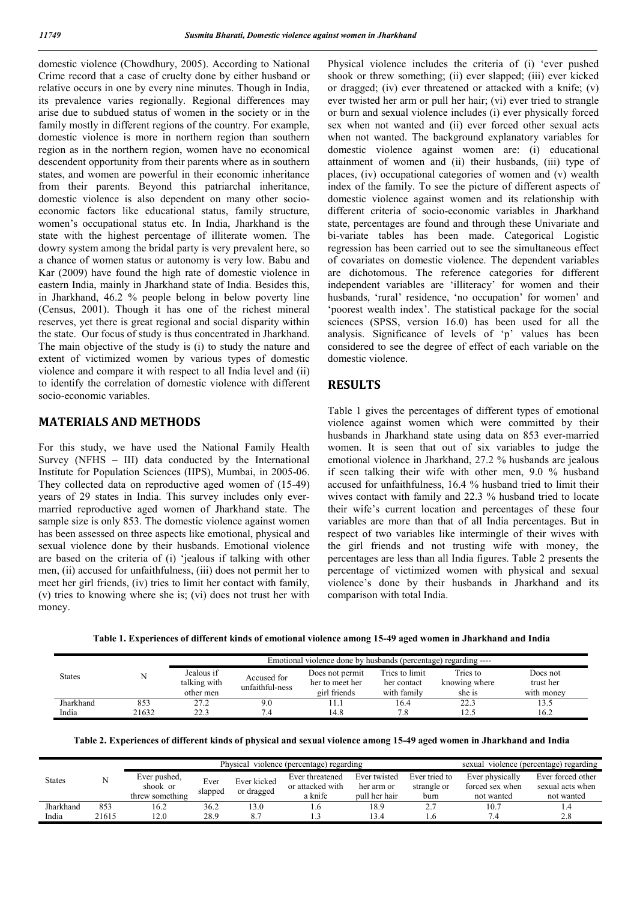domestic violence (Chowdhury, 2005). According to National Crime record that a case of cruelty done by either husband or relative occurs in one by every nine minutes. Though in India, its prevalence varies regionally. Regional differences may arise due to subdued status of women in the society or in the family mostly in different regions of the country. For example, domestic violence is more in northern region than southern region as in the northern region, women have no economical descendent opportunity from their parents where as in southern states, and women are powerful in their economic inheritance from their parents. Beyond this patriarchal inheritance, domestic violence is also dependent on many other socioeconomic factors like educational status, family structure, women's occupational status etc. In India, Jharkhand is the state with the highest percentage of illiterate women. The dowry system among the bridal party is very prevalent here, so a chance of women status or autonomy is very low. Babu and Kar (2009) have found the high rate of domestic violence in eastern India, mainly in Jharkhand state of India. Besides this, in Jharkhand, 46.2 % people belong in below poverty line (Census, 2001). Though it has one of the richest mineral reserves, yet there is great regional and social disparity within the state. Our focus of study is thus concentrated in Jharkhand. The main objective of the study is (i) to study the nature and extent of victimized women by various types of domestic violence and compare it with respect to all India level and (ii) to identify the correlation of domestic violence with different socio-economic variables.

## **MATERIALS AND METHODS**

For this study, we have used the National Family Health Survey (NFHS – III) data conducted by the International Institute for Population Sciences (IIPS), Mumbai, in 2005-06. They collected data on reproductive aged women of (15-49) years of 29 states in India. This survey includes only evermarried reproductive aged women of Jharkhand state. The sample size is only 853. The domestic violence against women has been assessed on three aspects like emotional, physical and sexual violence done by their husbands. Emotional violence are based on the criteria of (i) 'jealous if talking with other men, (ii) accused for unfaithfulness, (iii) does not permit her to meet her girl friends, (iv) tries to limit her contact with family, (v) tries to knowing where she is; (vi) does not trust her with money.

Physical violence includes the criteria of (i) 'ever pushed shook or threw something; (ii) ever slapped; (iii) ever kicked or dragged; (iv) ever threatened or attacked with a knife; (v) ever twisted her arm or pull her hair; (vi) ever tried to strangle or burn and sexual violence includes (i) ever physically forced sex when not wanted and (ii) ever forced other sexual acts when not wanted. The background explanatory variables for domestic violence against women are: (i) educational attainment of women and (ii) their husbands, (iii) type of places, (iv) occupational categories of women and (v) wealth index of the family. To see the picture of different aspects of domestic violence against women and its relationship with different criteria of socio-economic variables in Jharkhand state, percentages are found and through these Univariate and bi-variate tables has been made. Categorical Logistic regression has been carried out to see the simultaneous effect of covariates on domestic violence. The dependent variables are dichotomous. The reference categories for different independent variables are 'illiteracy' for women and their husbands, 'rural' residence, 'no occupation' for women' and 'poorest wealth index'. The statistical package for the social sciences (SPSS, version 16.0) has been used for all the analysis. Significance of levels of 'p' values has been considered to see the degree of effect of each variable on the domestic violence.

## **RESULTS**

Table 1 gives the percentages of different types of emotional violence against women which were committed by their husbands in Jharkhand state using data on 853 ever-married women. It is seen that out of six variables to judge the emotional violence in Jharkhand, 27.2 % husbands are jealous if seen talking their wife with other men, 9.0 % husband accused for unfaithfulness, 16.4 % husband tried to limit their wives contact with family and 22.3 % husband tried to locate their wife's current location and percentages of these four variables are more than that of all India percentages. But in respect of two variables like intermingle of their wives with the girl friends and not trusting wife with money, the percentages are less than all India figures. Table 2 presents the percentage of victimized women with physical and sexual violence's done by their husbands in Jharkhand and its comparison with total India.

**Table 1. Experiences of different kinds of emotional violence among 15-49 aged women in Jharkhand and India**

| <b>States</b> |       | Emotional violence done by husbands (percentage) regarding ---- |                 |                 |                |               |            |  |  |  |  |  |  |
|---------------|-------|-----------------------------------------------------------------|-----------------|-----------------|----------------|---------------|------------|--|--|--|--|--|--|
|               |       | Jealous if                                                      | Accused for     | Does not permit | Tries to limit | Tries to      | Does not   |  |  |  |  |  |  |
|               |       | talking with                                                    | unfaithful-ness | her to meet her | her contact    | knowing where | trust her  |  |  |  |  |  |  |
|               |       | other men                                                       |                 | girl friends    | with family    | she is        | with money |  |  |  |  |  |  |
| Jharkhand     | 853   | 27.2                                                            | 9.0             |                 | 16.4           | 22.3          | 13.5       |  |  |  |  |  |  |
| India         | 21632 | 22.3                                                            | '.4             | 14.8            | 7.8            | 12.5          | 16.2       |  |  |  |  |  |  |

|  | Table 2. Experiences of different kinds of physical and sexual violence among 15-49 aged women in Jharkhand and India |
|--|-----------------------------------------------------------------------------------------------------------------------|
|--|-----------------------------------------------------------------------------------------------------------------------|

| <b>States</b> |       |                          | Physical violence (percentage) regarding | sexual violence (percentage) regarding |                                     |                            |                              |                                    |                                       |  |
|---------------|-------|--------------------------|------------------------------------------|----------------------------------------|-------------------------------------|----------------------------|------------------------------|------------------------------------|---------------------------------------|--|
|               |       | Ever pushed,<br>shook or | Ever                                     | Ever kicked<br>or dragged              | Ever threatened<br>or attacked with | Ever twisted<br>her arm or | Ever tried to<br>strangle or | Ever physically<br>forced sex when | Ever forced other<br>sexual acts when |  |
|               |       | threw something          | slapped                                  |                                        | a knife                             | pull her hair              | burn                         | not wanted                         | not wanted                            |  |
| Jharkhand     | 853   | 16.2                     | 36.2                                     | 13.0                                   |                                     | 18.9                       |                              | 10.7                               | 1.4                                   |  |
| India         | 21615 | 2.0                      | 28.9                                     |                                        |                                     | 13.4                       | .6 <sub>1</sub>              | 7.4                                | 2.8                                   |  |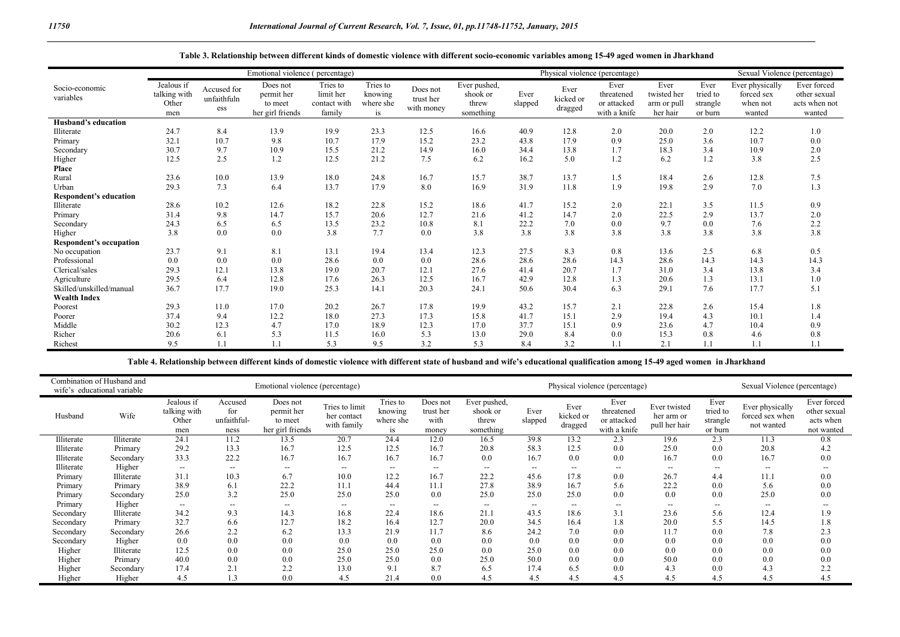|                               | Emotional violence (percentage)            |                                   |                                                       |                                                 |                                        |                                     | Physical violence (percentage)                 |                 |                              |                                                   |                                                |                                         |                                                     | Sexual Violence (percentage)                           |
|-------------------------------|--------------------------------------------|-----------------------------------|-------------------------------------------------------|-------------------------------------------------|----------------------------------------|-------------------------------------|------------------------------------------------|-----------------|------------------------------|---------------------------------------------------|------------------------------------------------|-----------------------------------------|-----------------------------------------------------|--------------------------------------------------------|
| Socio-economic<br>variables   | Jealous if<br>talking with<br>Other<br>men | Accused for<br>unfaithfuln<br>ess | Does not<br>permit her<br>to meet<br>her girl friends | Tries to<br>limit her<br>contact with<br>family | Tries to<br>knowing<br>where she<br>is | Does not<br>trust her<br>with money | Ever pushed,<br>shook or<br>threw<br>something | Ever<br>slapped | Ever<br>kicked or<br>dragged | Ever<br>threatened<br>or attacked<br>with a knife | Ever<br>twisted her<br>arm or pull<br>her hair | Ever<br>tried to<br>strangle<br>or burn | Ever physically<br>forced sex<br>when not<br>wanted | Ever forced<br>other sexual<br>acts when not<br>wanted |
| Husband's education           |                                            |                                   |                                                       |                                                 |                                        |                                     |                                                |                 |                              |                                                   |                                                |                                         |                                                     |                                                        |
| Illiterate                    | 24.7                                       | 8.4                               | 13.9                                                  | 19.9                                            | 23.3                                   | 12.5                                | 16.6                                           | 40.9            | 12.8                         | 2.0                                               | 20.0                                           | 2.0                                     | 12.2                                                | 1.0                                                    |
| Primary                       | 32.1                                       | 10.7                              | 9.8                                                   | 10.7                                            | 17.9                                   | 15.2                                | 23.2                                           | 43.8            | 17.9                         | 0.9                                               | 25.0                                           | 3.6                                     | 10.7                                                | 0.0                                                    |
| Secondary                     | 30.7                                       | 9.7                               | 10.9                                                  | 15.5                                            | 21.2                                   | 14.9                                | 16.0                                           | 34.4            | 13.8                         | 1.7                                               | 18.3                                           | 3.4                                     | 10.9                                                | 2.0                                                    |
| Higher                        | 12.5                                       | 2.5                               | 1.2                                                   | 12.5                                            | 21.2                                   | 7.5                                 | 6.2                                            | 16.2            | 5.0                          | 1.2                                               | 6.2                                            | 1.2                                     | 3.8                                                 | 2.5                                                    |
| Place                         |                                            |                                   |                                                       |                                                 |                                        |                                     |                                                |                 |                              |                                                   |                                                |                                         |                                                     |                                                        |
| Rural                         | 23.6                                       | 10.0                              | 13.9                                                  | 18.0                                            | 24.8                                   | 16.7                                | 15.7                                           | 38.7            | 13.7                         | 1.5                                               | 18.4                                           | 2.6                                     | 12.8                                                | 7.5                                                    |
| Urban                         | 29.3                                       | 7.3                               | 6.4                                                   | 13.7                                            | 17.9                                   | 8.0                                 | 16.9                                           | 31.9            | 11.8                         | 1.9                                               | 19.8                                           | 2.9                                     | 7.0                                                 | 1.3                                                    |
| <b>Respondent's education</b> |                                            |                                   |                                                       |                                                 |                                        |                                     |                                                |                 |                              |                                                   |                                                |                                         |                                                     |                                                        |
| Illiterate                    | 28.6                                       | 10.2                              | 12.6                                                  | 18.2                                            | 22.8                                   | 15.2                                | 18.6                                           | 41.7            | 15.2                         | 2.0                                               | 22.1                                           | 3.5                                     | 11.5                                                | 0.9                                                    |
| Primary                       | 31.4                                       | 9.8                               | 14.7                                                  | 15.7                                            | 20.6                                   | 12.7                                | 21.6                                           | 41.2            | 14.7                         | 2.0                                               | 22.5                                           | 2.9                                     | 13.7                                                | 2.0                                                    |
| Secondary                     | 24.3                                       | 6.5                               | 6.5                                                   | 13.5                                            | 23.2                                   | 10.8                                | 8.1                                            | 22.2            | 7.0                          | 0.0                                               | 9.7                                            | 0.0                                     | 7.6                                                 | 2.2                                                    |
| Higher                        | 3.8                                        | 0.0                               | 0.0                                                   | 3.8                                             | 7.7                                    | 0.0                                 | 3.8                                            | 3.8             | 3.8                          | 3.8                                               | 3.8                                            | 3.8                                     | 3.8                                                 | 3.8                                                    |
| Respondent's occupation       |                                            |                                   |                                                       |                                                 |                                        |                                     |                                                |                 |                              |                                                   |                                                |                                         |                                                     |                                                        |
| No occupation                 | 23.7                                       | 9.1                               | 8.1                                                   | 13.1                                            | 19.4                                   | 13.4                                | 12.3                                           | 27.5            | 8.3                          | 0.8                                               | 13.6                                           | 2.5                                     | 6.8                                                 | 0.5                                                    |
| Professional                  | 0.0                                        | 0.0                               | 0.0                                                   | 28.6                                            | 0.0                                    | 0.0                                 | 28.6                                           | 28.6            | 28.6                         | 14.3                                              | 28.6                                           | 14.3                                    | 14.3                                                | 14.3                                                   |
| Clerical/sales                | 29.3                                       | 12.1                              | 13.8                                                  | 19.0                                            | 20.7                                   | 12.1                                | 27.6                                           | 41.4            | 20.7                         | 1.7                                               | 31.0                                           | 3.4                                     | 13.8                                                | 3.4                                                    |
| Agriculture                   | 29.5                                       | 6.4                               | 12.8                                                  | 17.6                                            | 26.3                                   | 12.5                                | 16.7                                           | 42.9            | 12.8                         | 1.3                                               | 20.6                                           | 1.3                                     | 13.1                                                | 1.0                                                    |
| Skilled/unskilled/manual      | 36.7                                       | 17.7                              | 19.0                                                  | 25.3                                            | 14.1                                   | 20.3                                | 24.1                                           | 50.6            | 30.4                         | 6.3                                               | 29.1                                           | 7.6                                     | 17.7                                                | 5.1                                                    |
| <b>Wealth Index</b>           |                                            |                                   |                                                       |                                                 |                                        |                                     |                                                |                 |                              |                                                   |                                                |                                         |                                                     |                                                        |
| Poorest                       | 29.3                                       | 11.0                              | 17.0                                                  | 20.2                                            | 26.7                                   | 17.8                                | 19.9                                           | 43.2            | 15.7                         | 2.1                                               | 22.8                                           | 2.6                                     | 15.4                                                | 1.8                                                    |
| Poorer                        | 37.4                                       | 9.4                               | 12.2                                                  | 18.0                                            | 27.3                                   | 17.3                                | 15.8                                           | 41.7            | 15.1                         | 2.9                                               | 19.4                                           | 4.3                                     | 10.1                                                | 1.4                                                    |
| Middle                        | 30.2                                       | 12.3                              | 4.7                                                   | 17.0                                            | 18.9                                   | 12.3                                | 17.0                                           | 37.7            | 15.1                         | 0.9                                               | 23.6                                           | 4.7                                     | 10.4                                                | 0.9                                                    |
| Richer                        | 20.6                                       | 6.1                               | 5.3                                                   | 11.5                                            | 16.0                                   | 5.3                                 | 13.0                                           | 29.0            | 8.4                          | 0.0                                               | 15.3                                           | 0.8                                     | 4.6                                                 | 0.8                                                    |
| Richest                       | 9.5                                        |                                   |                                                       | 5.3                                             | 9.5                                    | 3.2                                 | 5.3                                            | 8.4             | 3.2                          | 1.1                                               | 2.1                                            | 1.1                                     |                                                     |                                                        |

**Table 4. Relationship between different kinds of domestic violence with different state of husband and wife's educational qualification among 15-49 aged women in Jharkhand**

|            | Combination of Husband and<br>Emotional violence (percentage)<br>wife's educational variable |                                            |                                       |                                                       |                                              |                                        | Physical violence (percentage)         |                                                |                          |                              |                                                   |                                             | Sexual Violence (percentage)            |                                                  |                                                        |
|------------|----------------------------------------------------------------------------------------------|--------------------------------------------|---------------------------------------|-------------------------------------------------------|----------------------------------------------|----------------------------------------|----------------------------------------|------------------------------------------------|--------------------------|------------------------------|---------------------------------------------------|---------------------------------------------|-----------------------------------------|--------------------------------------------------|--------------------------------------------------------|
| Husband    | Wife                                                                                         | Jealous if<br>talking with<br>Other<br>men | Accused<br>for<br>unfaithful-<br>ness | Does not<br>permit her<br>to meet<br>her girl friends | Tries to limit<br>her contact<br>with family | Tries to<br>knowing<br>where she<br>1S | Does not<br>trust her<br>with<br>money | Ever pushed,<br>shook or<br>threw<br>something | Ever<br>slapped          | Ever<br>kicked or<br>dragged | Ever<br>threatened<br>or attacked<br>with a knife | Ever twisted<br>her arm or<br>pull her hair | Ever<br>tried to<br>strangle<br>or burn | Ever physically<br>forced sex when<br>not wanted | Ever forced<br>other sexual<br>acts when<br>not wanted |
| Illiterate | Illiterate                                                                                   | 24.1                                       | 11.2                                  | 13.5                                                  | 20.7                                         | 24.4                                   | 12.0                                   | 16.5                                           | 39.8                     | 13.2                         | 2.3                                               | 19.6                                        | 2.3                                     | 11.3                                             | 0.8                                                    |
| Illiterate | Primary                                                                                      | 29.2                                       | 13.3                                  | 16.7                                                  | 12.5                                         | 12.5                                   | 16.7                                   | 20.8                                           | 58.3                     | 12.5                         | 0.0                                               | 25.0                                        | 0.0                                     | 20.8                                             | 4.2                                                    |
| Illiterate | Secondary                                                                                    | 33.3                                       | 22.2                                  | 16.7                                                  | 16.7                                         | 16.7                                   | 16.7                                   | 0.0                                            | 16.7                     | 0.0                          | 0.0                                               | 16.7                                        | 0.0                                     | 16.7                                             | 0.0                                                    |
| Illiterate | Higher                                                                                       | $\hspace{0.05cm} \ldots$                   | $- -$                                 | $\overline{\phantom{a}}$                              | $\overline{\phantom{a}}$                     | $- -$                                  | $\overline{\phantom{a}}$               | $\overline{\phantom{a}}$                       | $\overline{\phantom{a}}$ | $- -$                        | $\overline{\phantom{a}}$                          | $- -$                                       | $\overline{\phantom{a}}$                | $-$                                              | $- -$                                                  |
| Primary    | Illiterate                                                                                   | 31.1                                       | 10.3                                  | 6.7                                                   | 10.0                                         | 12.2                                   | 16.7                                   | 22.2                                           | 45.6                     | 17.8                         | 0.0                                               | 26.7                                        | 4.4                                     | 11.1                                             | 0.0                                                    |
| Primary    | Primary                                                                                      | 38.9                                       | 6.1                                   | 22.2                                                  | 11.1                                         | 44.4                                   | 11.1                                   | 27.8                                           | 38.9                     | 16.7                         | 5.6                                               | 22.2                                        | 0.0                                     | 5.6                                              | 0.0                                                    |
| Primary    | Secondary                                                                                    | 25.0                                       | 3.2                                   | 25.0                                                  | 25.0                                         | 25.0                                   | 0.0                                    | 25.0                                           | 25.0                     | 25.0                         | 0.0                                               | 0.0                                         | 0.0                                     | 25.0                                             | 0.0                                                    |
| Primary    | Higher                                                                                       | $\overline{\phantom{a}}$                   | $- -$                                 | $\overline{\phantom{a}}$                              | $- -$                                        | $- -$                                  | $- -$                                  | $- -$                                          | $- -$                    | $- -$                        | $- -$                                             | $\hspace{0.05cm} \ldots$                    | --                                      | $-$                                              |                                                        |
| Secondary  | Illiterate                                                                                   | 34.2                                       | 9.3                                   | 14.3                                                  | 16.8                                         | 22.4                                   | 18.6                                   | 21.1                                           | 43.5                     | 18.6                         | 3.1                                               | 23.6                                        | 5.6                                     | 12.4                                             | 1.9                                                    |
| Secondary  | Primary                                                                                      | 32.7                                       | 6.6                                   | 12.7                                                  | 18.2                                         | 16.4                                   | 12.7                                   | 20.0                                           | 34.5                     | 16.4                         | 1.8                                               | 20.0                                        | 5.5                                     | 14.5                                             | 1.8                                                    |
| Secondary  | Secondary                                                                                    | 26.6                                       | 2.2                                   | 6.2                                                   | 13.3                                         | 21.9                                   | 11.7                                   | 8.6                                            | 24.2                     | 7.0                          | 0.0                                               | 11.7                                        | 0.0                                     | 7.8                                              | 2.3                                                    |
| Secondary  | Higher                                                                                       | 0.0                                        | 0.0                                   | 0.0                                                   | 0.0                                          | 0.0                                    | 0.0                                    | 0.0                                            | 0.0                      | 0.0                          | 0.0                                               | 0.0                                         | 0.0                                     | 0.0                                              | 0.0                                                    |
| Higher     | Illiterate                                                                                   | 12.5                                       | 0.0                                   | 0.0                                                   | 25.0                                         | 25.0                                   | 25.0                                   | 0.0                                            | 25.0                     | 0.0                          | 0.0                                               | 0.0                                         | 0.0                                     | 0.0                                              | 0.0                                                    |
| Higher     | Primary                                                                                      | 40.0                                       | 0.0                                   | 0.0                                                   | 25.0                                         | 25.0                                   | 0.0                                    | 25.0                                           | 50.0                     | 0.0                          | 0.0                                               | 50.0                                        | 0.0                                     | 0.0                                              | 0.0                                                    |
| Higher     | Secondary                                                                                    | 17.4                                       | 2.1                                   | 2.2                                                   | 13.0                                         | 9.1                                    | 8.7                                    | 6.5                                            | 17.4                     | 6.5                          | 0.0                                               | 4.3                                         | 0.0                                     | 4.3                                              | 2.2                                                    |
| Higher     | Higher                                                                                       | 4.5                                        |                                       | 0.0                                                   | 4.5                                          | 21.4                                   | 0.0                                    | 4.5                                            | 4.5                      | 4.5                          | 4.5                                               | 4.5                                         | 4.5                                     | 4.5                                              | 4.5                                                    |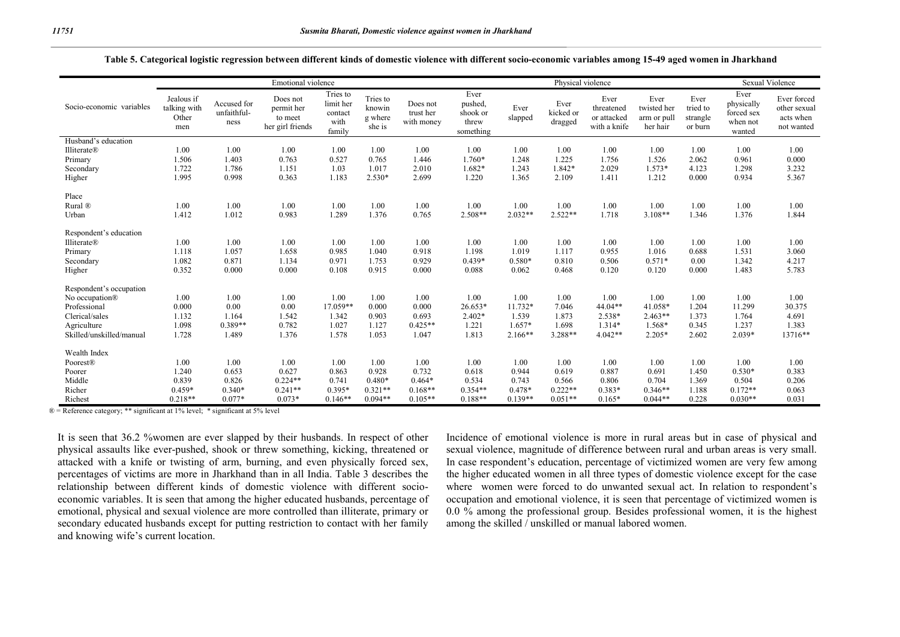|                          | Emotional violence                         |                                    |                                                       |                                                    |                                         |                                     |                                                   | Physical violence |                              |                                                   |                                                |                                         |                                                        | <b>Sexual Violence</b>                                 |  |
|--------------------------|--------------------------------------------|------------------------------------|-------------------------------------------------------|----------------------------------------------------|-----------------------------------------|-------------------------------------|---------------------------------------------------|-------------------|------------------------------|---------------------------------------------------|------------------------------------------------|-----------------------------------------|--------------------------------------------------------|--------------------------------------------------------|--|
| Socio-economic variables | Jealous if<br>talking with<br>Other<br>men | Accused for<br>unfaithful-<br>ness | Does not<br>permit her<br>to meet<br>her girl friends | Tries to<br>limit her<br>contact<br>with<br>family | Tries to<br>knowin<br>g where<br>she is | Does not<br>trust her<br>with money | Ever<br>pushed,<br>shook or<br>threw<br>something | Ever<br>slapped   | Ever<br>kicked or<br>dragged | Ever<br>threatened<br>or attacked<br>with a knife | Ever<br>twisted her<br>arm or pull<br>her hair | Ever<br>tried to<br>strangle<br>or burn | Ever<br>physically<br>forced sex<br>when not<br>wanted | Ever forced<br>other sexual<br>acts when<br>not wanted |  |
| Husband's education      |                                            |                                    |                                                       |                                                    |                                         |                                     |                                                   |                   |                              |                                                   |                                                |                                         |                                                        |                                                        |  |
| <b>Illiterate®</b>       | 1.00                                       | 1.00                               | 1.00                                                  | 1.00                                               | 1.00                                    | 1.00                                | 1.00                                              | 1.00              | 1.00                         | 1.00                                              | 1.00                                           | 1.00                                    | 1.00                                                   | 1.00                                                   |  |
| Primary                  | 1.506                                      | 1.403                              | 0.763                                                 | 0.527                                              | 0.765                                   | 1.446                               | 1.760*                                            | 1.248             | 1.225                        | 1.756                                             | 1.526                                          | 2.062                                   | 0.961                                                  | 0.000                                                  |  |
| Secondary                | 1.722                                      | 1.786                              | 1.151                                                 | 1.03                                               | 1.017                                   | 2.010                               | 1.682*                                            | 1.243             | 1.842*                       | 2.029                                             | $1.573*$                                       | 4.123                                   | 1.298                                                  | 3.232                                                  |  |
| Higher                   | 1.995                                      | 0.998                              | 0.363                                                 | 1.183                                              | $2.530*$                                | 2.699                               | 1.220                                             | 1.365             | 2.109                        | 1.411                                             | 1.212                                          | 0.000                                   | 0.934                                                  | 5.367                                                  |  |
| Place                    |                                            |                                    |                                                       |                                                    |                                         |                                     |                                                   |                   |                              |                                                   |                                                |                                         |                                                        |                                                        |  |
| Rural ®                  | 1.00                                       | 1.00                               | 1.00                                                  | 1.00                                               | 1.00                                    | 1.00                                | 1.00                                              | 1.00              | 1.00                         | 1.00                                              | 1.00                                           | 1.00                                    | 1.00                                                   | 1.00                                                   |  |
| Urban                    | 1.412                                      | 1.012                              | 0.983                                                 | 1.289                                              | 1.376                                   | 0.765                               | 2.508**                                           | $2.032**$         | $2.522**$                    | 1.718                                             | $3.108**$                                      | 1.346                                   | 1.376                                                  | 1.844                                                  |  |
| Respondent's education   |                                            |                                    |                                                       |                                                    |                                         |                                     |                                                   |                   |                              |                                                   |                                                |                                         |                                                        |                                                        |  |
| <b>Illiterate®</b>       | 1.00                                       | 1.00                               | 1.00                                                  | 1.00                                               | 1.00                                    | 1.00                                | 1.00                                              | 1.00              | 1.00                         | 1.00                                              | 1.00                                           | 1.00                                    | 1.00                                                   | 1.00                                                   |  |
| Primary                  | 1.118                                      | 1.057                              | 1.658                                                 | 0.985                                              | 1.040                                   | 0.918                               | 1.198                                             | 1.019             | 1.117                        | 0.955                                             | 1.016                                          | 0.688                                   | 1.531                                                  | 3.060                                                  |  |
| Secondary                | 1.082                                      | 0.871                              | 1.134                                                 | 0.971                                              | 1.753                                   | 0.929                               | $0.439*$                                          | $0.580*$          | 0.810                        | 0.506                                             | $0.571*$                                       | 0.00                                    | 1.342                                                  | 4.217                                                  |  |
| Higher                   | 0.352                                      | 0.000                              | 0.000                                                 | 0.108                                              | 0.915                                   | 0.000                               | 0.088                                             | 0.062             | 0.468                        | 0.120                                             | 0.120                                          | 0.000                                   | 1.483                                                  | 5.783                                                  |  |
| Respondent's occupation  |                                            |                                    |                                                       |                                                    |                                         |                                     |                                                   |                   |                              |                                                   |                                                |                                         |                                                        |                                                        |  |
| No occupation®           | 1.00                                       | 1.00                               | 1.00                                                  | 1.00                                               | 1.00                                    | 1.00                                | 1.00                                              | 1.00              | 1.00                         | 1.00                                              | 1.00                                           | 1.00                                    | 1.00                                                   | 1.00                                                   |  |
| Professional             | 0.000                                      | 0.00                               | 0.00                                                  | 17.059**                                           | 0.000                                   | 0.000                               | 26.653*                                           | $11.732*$         | 7.046                        | $44.04**$                                         | $41.058*$                                      | 1.204                                   | 11.299                                                 | 30.375                                                 |  |
| Clerical/sales           | 1.132                                      | 1.164                              | 1.542                                                 | 1.342                                              | 0.903                                   | 0.693                               | $2.402*$                                          | 1.539             | 1.873                        | 2.538*                                            | $2.463**$                                      | 1.373                                   | 1.764                                                  | 4.691                                                  |  |
| Agriculture              | 1.098                                      | $0.389**$                          | 0.782                                                 | 1.027                                              | 1.127                                   | $0.425**$                           | 1.221                                             | $1.657*$          | 1.698                        | $1.314*$                                          | 1.568*                                         | 0.345                                   | 1.237                                                  | 1.383                                                  |  |
| Skilled/unskilled/manual | 1.728                                      | 1.489                              | 1.376                                                 | 1.578                                              | 1.053                                   | 1.047                               | 1.813                                             | $2.166**$         | 3.288**                      | $4.042**$                                         | $2.205*$                                       | 2.602                                   | $2.039*$                                               | 13716**                                                |  |
| Wealth Index             |                                            |                                    |                                                       |                                                    |                                         |                                     |                                                   |                   |                              |                                                   |                                                |                                         |                                                        |                                                        |  |
| Poorest®                 | 1.00                                       | 1.00                               | 1.00                                                  | 1.00                                               | 1.00                                    | 1.00                                | 1.00                                              | 1.00              | 1.00                         | 1.00                                              | 1.00                                           | 1.00                                    | 1.00                                                   | 1.00                                                   |  |
| Poorer                   | 1.240                                      | 0.653                              | 0.627                                                 | 0.863                                              | 0.928                                   | 0.732                               | 0.618                                             | 0.944             | 0.619                        | 0.887                                             | 0.691                                          | 1.450                                   | $0.530*$                                               | 0.383                                                  |  |
| Middle                   | 0.839                                      | 0.826                              | $0.224**$                                             | 0.741                                              | $0.480*$                                | $0.464*$                            | 0.534                                             | 0.743             | 0.566                        | 0.806                                             | 0.704                                          | 1.369                                   | 0.504                                                  | 0.206                                                  |  |
| Richer                   | $0.459*$                                   | $0.340*$                           | $0.241**$                                             | $0.395*$                                           | $0.321**$                               | $0.168**$                           | $0.354**$                                         | $0.478*$          | $0.222**$                    | $0.383*$                                          | $0.346**$                                      | 1.188                                   | $0.172**$                                              | 0.063                                                  |  |
| Richest                  | $0.218**$                                  | $0.077*$                           | $0.073*$                                              | $0.146**$                                          | $0.094**$                               | $0.105**$                           | $0.188**$                                         | $0.139**$         | $0.051**$                    | $0.165*$                                          | $0.044**$                                      | 0.228                                   | $0.030**$                                              | 0.031                                                  |  |

#### **Table 5. Categorical logistic regression between different kinds of domestic violence with different socio-economic variables among 15-49 aged women in Jharkhand**

 $\mathbb{R}$  = Reference category: \*\* significant at 1% level; \* significant at 5% level

It is seen that 36.2 %women are ever slapped by their husbands. In respect of other physical assaults like ever-pushed, shook or threw something, kicking, threatened or attacked with a knife or twisting of arm, burning, and even physically forced sex, percentages of victims are more in Jharkhand than in all India. Table 3 describes the relationship between different kinds of domestic violence with different socioeconomic variables. It is seen that among the higher educated husbands, percentage of emotional, physical and sexual violence are more controlled than illiterate, primary or secondary educated husbands except for putting restriction to contact with her family and knowing wife's current location.

Incidence of emotional violence is more in rural areas but in case of physical and sexual violence, magnitude of difference between rural and urban areas is very small. In case respondent's education, percentage of victimized women are very few among the higher educated women in all three types of domestic violence except for the case where women were forced to do unwanted sexual act. In relation to respondent's occupation and emotional violence, it is seen that percentage of victimized women is 0.0 % among the professional group. Besides professional women, it is the highest among the skilled / unskilled or manual labored women.